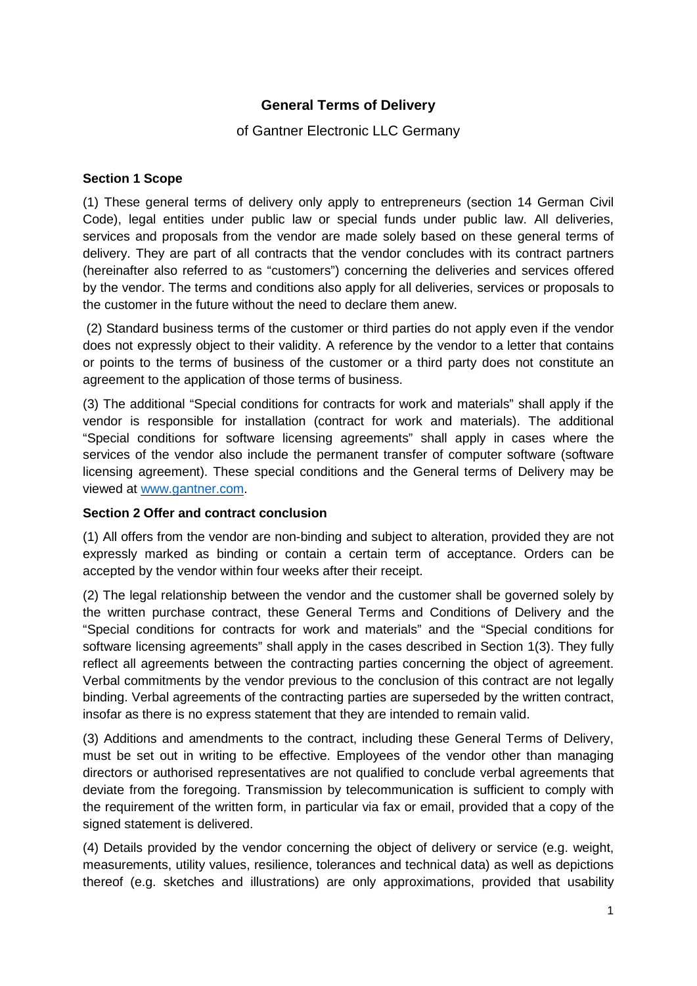# **General Terms of Delivery**

# of Gantner Electronic LLC Germany

#### **Section 1 Scope**

(1) These general terms of delivery only apply to entrepreneurs (section 14 German Civil Code), legal entities under public law or special funds under public law. All deliveries, services and proposals from the vendor are made solely based on these general terms of delivery. They are part of all contracts that the vendor concludes with its contract partners (hereinafter also referred to as "customers") concerning the deliveries and services offered by the vendor. The terms and conditions also apply for all deliveries, services or proposals to the customer in the future without the need to declare them anew.

(2) Standard business terms of the customer or third parties do not apply even if the vendor does not expressly object to their validity. A reference by the vendor to a letter that contains or points to the terms of business of the customer or a third party does not constitute an agreement to the application of those terms of business.

(3) The additional "Special conditions for contracts for work and materials" shall apply if the vendor is responsible for installation (contract for work and materials). The additional "Special conditions for software licensing agreements" shall apply in cases where the services of the vendor also include the permanent transfer of computer software (software licensing agreement). These special conditions and the General terms of Delivery may be viewed at [www.gantner.com.](http://www.gantner.com/)

#### **Section 2 Offer and contract conclusion**

(1) All offers from the vendor are non-binding and subject to alteration, provided they are not expressly marked as binding or contain a certain term of acceptance. Orders can be accepted by the vendor within four weeks after their receipt.

(2) The legal relationship between the vendor and the customer shall be governed solely by the written purchase contract, these General Terms and Conditions of Delivery and the "Special conditions for contracts for work and materials" and the "Special conditions for software licensing agreements" shall apply in the cases described in Section 1(3). They fully reflect all agreements between the contracting parties concerning the object of agreement. Verbal commitments by the vendor previous to the conclusion of this contract are not legally binding. Verbal agreements of the contracting parties are superseded by the written contract, insofar as there is no express statement that they are intended to remain valid.

(3) Additions and amendments to the contract, including these General Terms of Delivery, must be set out in writing to be effective. Employees of the vendor other than managing directors or authorised representatives are not qualified to conclude verbal agreements that deviate from the foregoing. Transmission by telecommunication is sufficient to comply with the requirement of the written form, in particular via fax or email, provided that a copy of the signed statement is delivered.

(4) Details provided by the vendor concerning the object of delivery or service (e.g. weight, measurements, utility values, resilience, tolerances and technical data) as well as depictions thereof (e.g. sketches and illustrations) are only approximations, provided that usability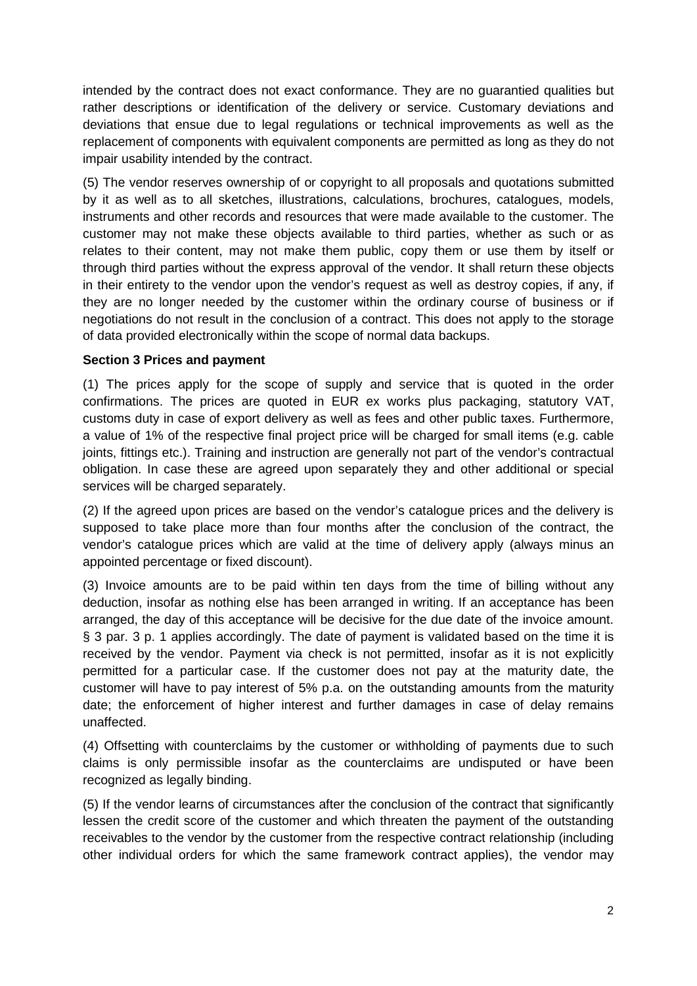intended by the contract does not exact conformance. They are no guarantied qualities but rather descriptions or identification of the delivery or service. Customary deviations and deviations that ensue due to legal regulations or technical improvements as well as the replacement of components with equivalent components are permitted as long as they do not impair usability intended by the contract.

(5) The vendor reserves ownership of or copyright to all proposals and quotations submitted by it as well as to all sketches, illustrations, calculations, brochures, catalogues, models, instruments and other records and resources that were made available to the customer. The customer may not make these objects available to third parties, whether as such or as relates to their content, may not make them public, copy them or use them by itself or through third parties without the express approval of the vendor. It shall return these objects in their entirety to the vendor upon the vendor's request as well as destroy copies, if any, if they are no longer needed by the customer within the ordinary course of business or if negotiations do not result in the conclusion of a contract. This does not apply to the storage of data provided electronically within the scope of normal data backups.

#### **Section 3 Prices and payment**

(1) The prices apply for the scope of supply and service that is quoted in the order confirmations. The prices are quoted in EUR ex works plus packaging, statutory VAT, customs duty in case of export delivery as well as fees and other public taxes. Furthermore, a value of 1% of the respective final project price will be charged for small items (e.g. cable joints, fittings etc.). Training and instruction are generally not part of the vendor's contractual obligation. In case these are agreed upon separately they and other additional or special services will be charged separately.

(2) If the agreed upon prices are based on the vendor's catalogue prices and the delivery is supposed to take place more than four months after the conclusion of the contract, the vendor's catalogue prices which are valid at the time of delivery apply (always minus an appointed percentage or fixed discount).

(3) Invoice amounts are to be paid within ten days from the time of billing without any deduction, insofar as nothing else has been arranged in writing. If an acceptance has been arranged, the day of this acceptance will be decisive for the due date of the invoice amount. § 3 par. 3 p. 1 applies accordingly. The date of payment is validated based on the time it is received by the vendor. Payment via check is not permitted, insofar as it is not explicitly permitted for a particular case. If the customer does not pay at the maturity date, the customer will have to pay interest of 5% p.a. on the outstanding amounts from the maturity date; the enforcement of higher interest and further damages in case of delay remains unaffected.

(4) Offsetting with counterclaims by the customer or withholding of payments due to such claims is only permissible insofar as the counterclaims are undisputed or have been recognized as legally binding.

(5) If the vendor learns of circumstances after the conclusion of the contract that significantly lessen the credit score of the customer and which threaten the payment of the outstanding receivables to the vendor by the customer from the respective contract relationship (including other individual orders for which the same framework contract applies), the vendor may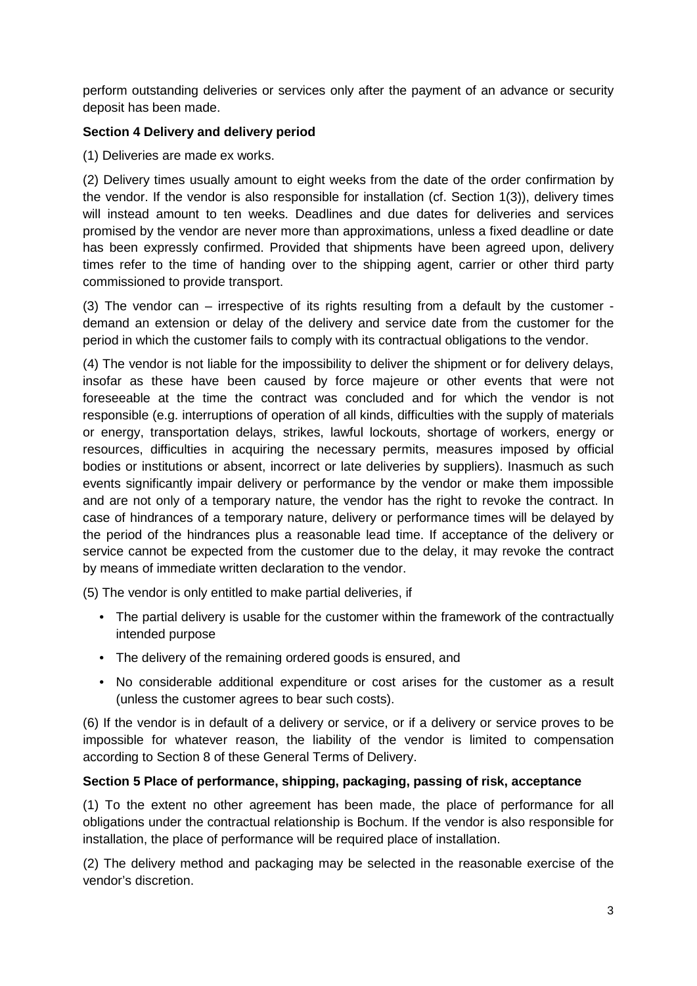perform outstanding deliveries or services only after the payment of an advance or security deposit has been made.

#### **Section 4 Delivery and delivery period**

(1) Deliveries are made ex works.

(2) Delivery times usually amount to eight weeks from the date of the order confirmation by the vendor. If the vendor is also responsible for installation (cf. Section 1(3)), delivery times will instead amount to ten weeks. Deadlines and due dates for deliveries and services promised by the vendor are never more than approximations, unless a fixed deadline or date has been expressly confirmed. Provided that shipments have been agreed upon, delivery times refer to the time of handing over to the shipping agent, carrier or other third party commissioned to provide transport.

(3) The vendor can – irrespective of its rights resulting from a default by the customer demand an extension or delay of the delivery and service date from the customer for the period in which the customer fails to comply with its contractual obligations to the vendor.

(4) The vendor is not liable for the impossibility to deliver the shipment or for delivery delays, insofar as these have been caused by force majeure or other events that were not foreseeable at the time the contract was concluded and for which the vendor is not responsible (e.g. interruptions of operation of all kinds, difficulties with the supply of materials or energy, transportation delays, strikes, lawful lockouts, shortage of workers, energy or resources, difficulties in acquiring the necessary permits, measures imposed by official bodies or institutions or absent, incorrect or late deliveries by suppliers). Inasmuch as such events significantly impair delivery or performance by the vendor or make them impossible and are not only of a temporary nature, the vendor has the right to revoke the contract. In case of hindrances of a temporary nature, delivery or performance times will be delayed by the period of the hindrances plus a reasonable lead time. If acceptance of the delivery or service cannot be expected from the customer due to the delay, it may revoke the contract by means of immediate written declaration to the vendor.

(5) The vendor is only entitled to make partial deliveries, if

- The partial delivery is usable for the customer within the framework of the contractually intended purpose
- The delivery of the remaining ordered goods is ensured, and
- No considerable additional expenditure or cost arises for the customer as a result (unless the customer agrees to bear such costs).

(6) If the vendor is in default of a delivery or service, or if a delivery or service proves to be impossible for whatever reason, the liability of the vendor is limited to compensation according to Section 8 of these General Terms of Delivery.

# **Section 5 Place of performance, shipping, packaging, passing of risk, acceptance**

(1) To the extent no other agreement has been made, the place of performance for all obligations under the contractual relationship is Bochum. If the vendor is also responsible for installation, the place of performance will be required place of installation.

(2) The delivery method and packaging may be selected in the reasonable exercise of the vendor's discretion.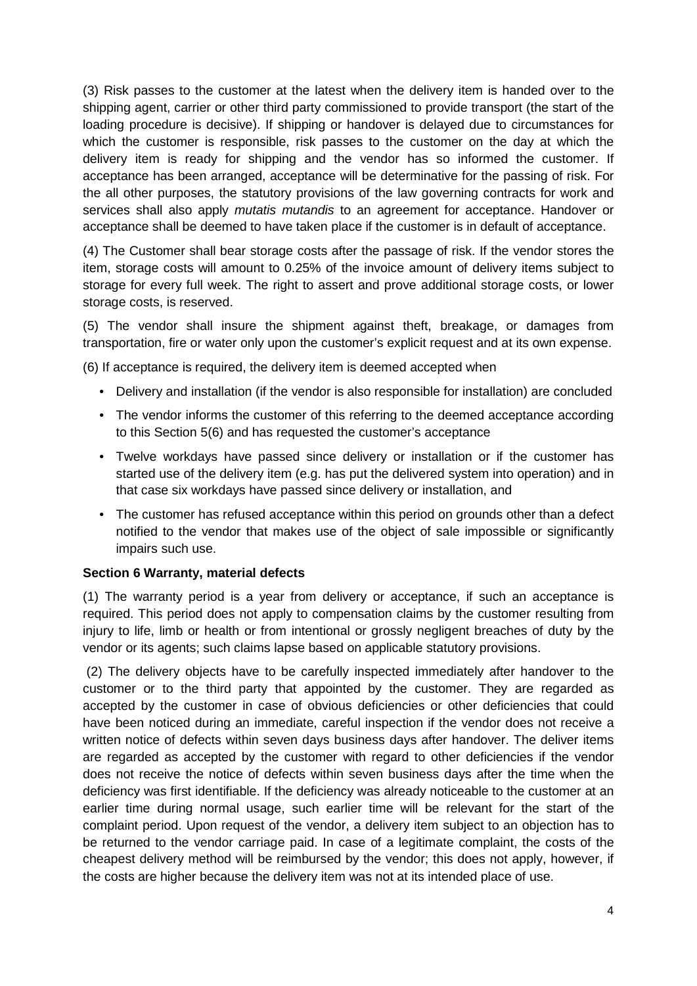(3) Risk passes to the customer at the latest when the delivery item is handed over to the shipping agent, carrier or other third party commissioned to provide transport (the start of the loading procedure is decisive). If shipping or handover is delayed due to circumstances for which the customer is responsible, risk passes to the customer on the day at which the delivery item is ready for shipping and the vendor has so informed the customer. If acceptance has been arranged, acceptance will be determinative for the passing of risk. For the all other purposes, the statutory provisions of the law governing contracts for work and services shall also apply *mutatis mutandis* to an agreement for acceptance. Handover or acceptance shall be deemed to have taken place if the customer is in default of acceptance.

(4) The Customer shall bear storage costs after the passage of risk. If the vendor stores the item, storage costs will amount to 0.25% of the invoice amount of delivery items subject to storage for every full week. The right to assert and prove additional storage costs, or lower storage costs, is reserved.

(5) The vendor shall insure the shipment against theft, breakage, or damages from transportation, fire or water only upon the customer's explicit request and at its own expense.

(6) If acceptance is required, the delivery item is deemed accepted when

- Delivery and installation (if the vendor is also responsible for installation) are concluded
- The vendor informs the customer of this referring to the deemed acceptance according to this Section 5(6) and has requested the customer's acceptance
- Twelve workdays have passed since delivery or installation or if the customer has started use of the delivery item (e.g. has put the delivered system into operation) and in that case six workdays have passed since delivery or installation, and
- The customer has refused acceptance within this period on grounds other than a defect notified to the vendor that makes use of the object of sale impossible or significantly impairs such use.

#### **Section 6 Warranty, material defects**

(1) The warranty period is a year from delivery or acceptance, if such an acceptance is required. This period does not apply to compensation claims by the customer resulting from injury to life, limb or health or from intentional or grossly negligent breaches of duty by the vendor or its agents; such claims lapse based on applicable statutory provisions.

(2) The delivery objects have to be carefully inspected immediately after handover to the customer or to the third party that appointed by the customer. They are regarded as accepted by the customer in case of obvious deficiencies or other deficiencies that could have been noticed during an immediate, careful inspection if the vendor does not receive a written notice of defects within seven days business days after handover. The deliver items are regarded as accepted by the customer with regard to other deficiencies if the vendor does not receive the notice of defects within seven business days after the time when the deficiency was first identifiable. If the deficiency was already noticeable to the customer at an earlier time during normal usage, such earlier time will be relevant for the start of the complaint period. Upon request of the vendor, a delivery item subject to an objection has to be returned to the vendor carriage paid. In case of a legitimate complaint, the costs of the cheapest delivery method will be reimbursed by the vendor; this does not apply, however, if the costs are higher because the delivery item was not at its intended place of use.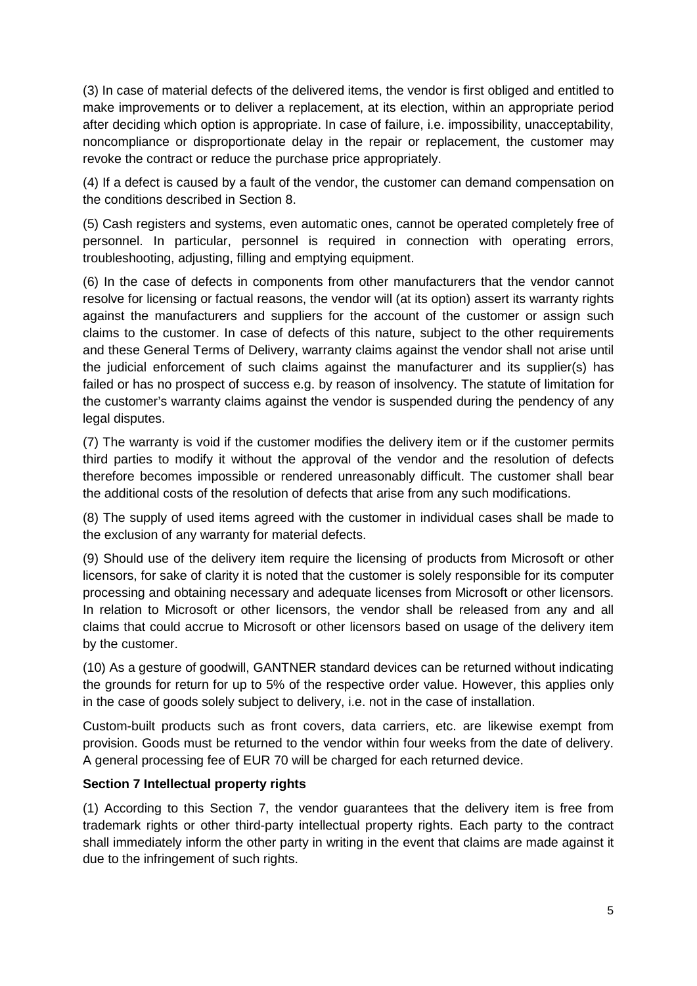(3) In case of material defects of the delivered items, the vendor is first obliged and entitled to make improvements or to deliver a replacement, at its election, within an appropriate period after deciding which option is appropriate. In case of failure, i.e. impossibility, unacceptability, noncompliance or disproportionate delay in the repair or replacement, the customer may revoke the contract or reduce the purchase price appropriately.

(4) If a defect is caused by a fault of the vendor, the customer can demand compensation on the conditions described in Section 8.

(5) Cash registers and systems, even automatic ones, cannot be operated completely free of personnel. In particular, personnel is required in connection with operating errors, troubleshooting, adjusting, filling and emptying equipment.

(6) In the case of defects in components from other manufacturers that the vendor cannot resolve for licensing or factual reasons, the vendor will (at its option) assert its warranty rights against the manufacturers and suppliers for the account of the customer or assign such claims to the customer. In case of defects of this nature, subject to the other requirements and these General Terms of Delivery, warranty claims against the vendor shall not arise until the judicial enforcement of such claims against the manufacturer and its supplier(s) has failed or has no prospect of success e.g. by reason of insolvency. The statute of limitation for the customer's warranty claims against the vendor is suspended during the pendency of any legal disputes.

(7) The warranty is void if the customer modifies the delivery item or if the customer permits third parties to modify it without the approval of the vendor and the resolution of defects therefore becomes impossible or rendered unreasonably difficult. The customer shall bear the additional costs of the resolution of defects that arise from any such modifications.

(8) The supply of used items agreed with the customer in individual cases shall be made to the exclusion of any warranty for material defects.

(9) Should use of the delivery item require the licensing of products from Microsoft or other licensors, for sake of clarity it is noted that the customer is solely responsible for its computer processing and obtaining necessary and adequate licenses from Microsoft or other licensors. In relation to Microsoft or other licensors, the vendor shall be released from any and all claims that could accrue to Microsoft or other licensors based on usage of the delivery item by the customer.

(10) As a gesture of goodwill, GANTNER standard devices can be returned without indicating the grounds for return for up to 5% of the respective order value. However, this applies only in the case of goods solely subject to delivery, i.e. not in the case of installation.

Custom-built products such as front covers, data carriers, etc. are likewise exempt from provision. Goods must be returned to the vendor within four weeks from the date of delivery. A general processing fee of EUR 70 will be charged for each returned device.

# **Section 7 Intellectual property rights**

(1) According to this Section 7, the vendor guarantees that the delivery item is free from trademark rights or other third-party intellectual property rights. Each party to the contract shall immediately inform the other party in writing in the event that claims are made against it due to the infringement of such rights.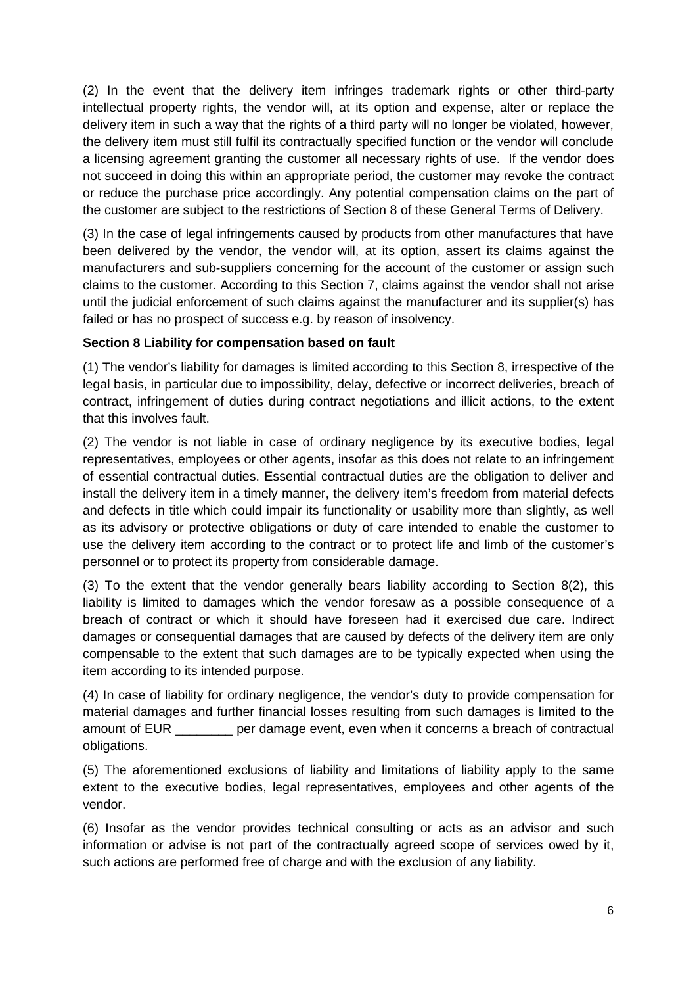(2) In the event that the delivery item infringes trademark rights or other third-party intellectual property rights, the vendor will, at its option and expense, alter or replace the delivery item in such a way that the rights of a third party will no longer be violated, however, the delivery item must still fulfil its contractually specified function or the vendor will conclude a licensing agreement granting the customer all necessary rights of use. If the vendor does not succeed in doing this within an appropriate period, the customer may revoke the contract or reduce the purchase price accordingly. Any potential compensation claims on the part of the customer are subject to the restrictions of Section 8 of these General Terms of Delivery.

(3) In the case of legal infringements caused by products from other manufactures that have been delivered by the vendor, the vendor will, at its option, assert its claims against the manufacturers and sub-suppliers concerning for the account of the customer or assign such claims to the customer. According to this Section 7, claims against the vendor shall not arise until the judicial enforcement of such claims against the manufacturer and its supplier(s) has failed or has no prospect of success e.g. by reason of insolvency.

# **Section 8 Liability for compensation based on fault**

(1) The vendor's liability for damages is limited according to this Section 8, irrespective of the legal basis, in particular due to impossibility, delay, defective or incorrect deliveries, breach of contract, infringement of duties during contract negotiations and illicit actions, to the extent that this involves fault.

(2) The vendor is not liable in case of ordinary negligence by its executive bodies, legal representatives, employees or other agents, insofar as this does not relate to an infringement of essential contractual duties. Essential contractual duties are the obligation to deliver and install the delivery item in a timely manner, the delivery item's freedom from material defects and defects in title which could impair its functionality or usability more than slightly, as well as its advisory or protective obligations or duty of care intended to enable the customer to use the delivery item according to the contract or to protect life and limb of the customer's personnel or to protect its property from considerable damage.

(3) To the extent that the vendor generally bears liability according to Section 8(2), this liability is limited to damages which the vendor foresaw as a possible consequence of a breach of contract or which it should have foreseen had it exercised due care. Indirect damages or consequential damages that are caused by defects of the delivery item are only compensable to the extent that such damages are to be typically expected when using the item according to its intended purpose.

(4) In case of liability for ordinary negligence, the vendor's duty to provide compensation for material damages and further financial losses resulting from such damages is limited to the amount of EUR \_\_\_\_\_\_\_\_ per damage event, even when it concerns a breach of contractual obligations.

(5) The aforementioned exclusions of liability and limitations of liability apply to the same extent to the executive bodies, legal representatives, employees and other agents of the vendor.

(6) Insofar as the vendor provides technical consulting or acts as an advisor and such information or advise is not part of the contractually agreed scope of services owed by it, such actions are performed free of charge and with the exclusion of any liability.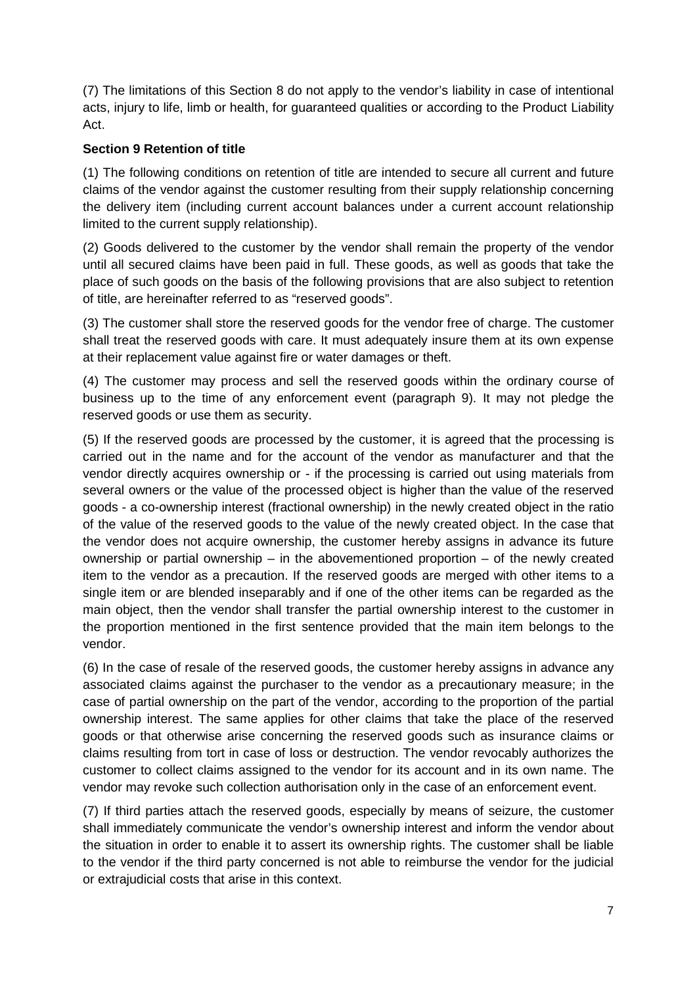(7) The limitations of this Section 8 do not apply to the vendor's liability in case of intentional acts, injury to life, limb or health, for guaranteed qualities or according to the Product Liability Act.

# **Section 9 Retention of title**

(1) The following conditions on retention of title are intended to secure all current and future claims of the vendor against the customer resulting from their supply relationship concerning the delivery item (including current account balances under a current account relationship limited to the current supply relationship).

(2) Goods delivered to the customer by the vendor shall remain the property of the vendor until all secured claims have been paid in full. These goods, as well as goods that take the place of such goods on the basis of the following provisions that are also subject to retention of title, are hereinafter referred to as "reserved goods".

(3) The customer shall store the reserved goods for the vendor free of charge. The customer shall treat the reserved goods with care. It must adequately insure them at its own expense at their replacement value against fire or water damages or theft.

(4) The customer may process and sell the reserved goods within the ordinary course of business up to the time of any enforcement event (paragraph 9). It may not pledge the reserved goods or use them as security.

(5) If the reserved goods are processed by the customer, it is agreed that the processing is carried out in the name and for the account of the vendor as manufacturer and that the vendor directly acquires ownership or - if the processing is carried out using materials from several owners or the value of the processed object is higher than the value of the reserved goods - a co-ownership interest (fractional ownership) in the newly created object in the ratio of the value of the reserved goods to the value of the newly created object. In the case that the vendor does not acquire ownership, the customer hereby assigns in advance its future ownership or partial ownership – in the abovementioned proportion – of the newly created item to the vendor as a precaution. If the reserved goods are merged with other items to a single item or are blended inseparably and if one of the other items can be regarded as the main object, then the vendor shall transfer the partial ownership interest to the customer in the proportion mentioned in the first sentence provided that the main item belongs to the vendor.

(6) In the case of resale of the reserved goods, the customer hereby assigns in advance any associated claims against the purchaser to the vendor as a precautionary measure; in the case of partial ownership on the part of the vendor, according to the proportion of the partial ownership interest. The same applies for other claims that take the place of the reserved goods or that otherwise arise concerning the reserved goods such as insurance claims or claims resulting from tort in case of loss or destruction. The vendor revocably authorizes the customer to collect claims assigned to the vendor for its account and in its own name. The vendor may revoke such collection authorisation only in the case of an enforcement event.

(7) If third parties attach the reserved goods, especially by means of seizure, the customer shall immediately communicate the vendor's ownership interest and inform the vendor about the situation in order to enable it to assert its ownership rights. The customer shall be liable to the vendor if the third party concerned is not able to reimburse the vendor for the judicial or extrajudicial costs that arise in this context.